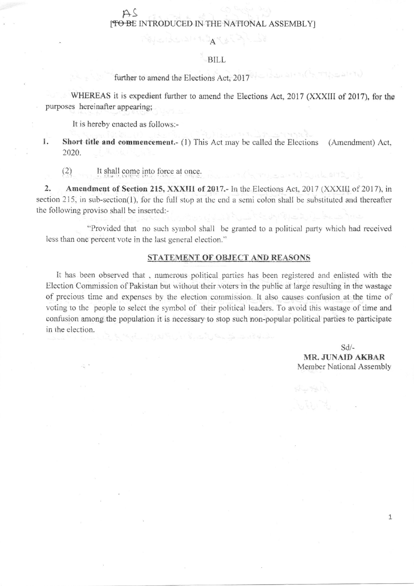## AS [TO BE INTRODUCED IN THE NATIONAL ASSEMBLY]

 $\mathbb{E}[\mathcal{A}_{\mathcal{A}}] = \mathbb{E}[\mathcal{A}_{\mathcal{A}}] = \mathbb{E}[\mathcal{A}_{\mathcal{A}}] = \mathbb{E}[\mathcal{A}_{\mathcal{A}}] = \mathbb{E}[\mathcal{A}_{\mathcal{A}}] = \mathbb{E}[\mathcal{A}_{\mathcal{A}}]$ 

## BILL

further to amend the Elections Act, 2017

WHEREAS it is expedient further to amend the Elections Act, 2017 (XXXIII of 2017), for the purposes hereinafter appearing;

It is hereby cnacted as follows:-

1. Short title and commencement.- (1) This Act may be called the Elections (Amendment) Act, 2020.

 $(2)$  It shall come into force at once.

2. Amendment of Section 215, XXXIII of 2017.- In the Elections Act, 2017 (XXXIII of 2017), in section 215, in sub-section(1), for the full stop at the end a semi colon shall be substituted and thereafter the following proviso shall be inserted:-

"Provided that no such symbol shall be granted to a political party which had received less than one percent vote in the last general election."

## STATEMENT OF OBJECT AND REASONS

It has been observed that, numerous political parties has been registered and enlisted with the Election Commission of Pakistan but without their voters in the public at large resulting in the wastage of precious time and expenses by the election commission. It also causes confusion at the time of voting to the people to select the symbol of their political leaders. To avoid this wastage of time and corfusion among the population it is necessary to stop such non-popular political parties to participate in the election.

> sd/- MR. JUNAID AKBAR Member National Assembly

> > I